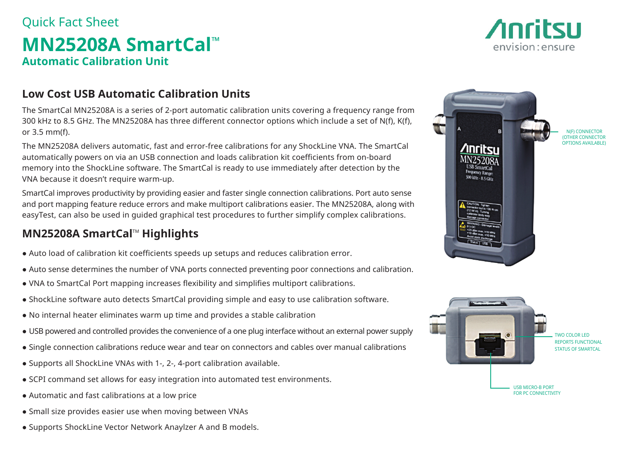# Quick Fact Sheet **MN25208A SmartCal™ Automatic Calibration Unit**

### **Low Cost USB Automatic Calibration Units**

The SmartCal MN25208A is a series of 2-port automatic calibration units covering a frequency range from 300 kHz to 8.5 GHz. The MN25208A has three different connector options which include a set of N(f), K(f), or 3.5 mm(f).

The MN25208A delivers automatic, fast and error-free calibrations for any ShockLine VNA. The SmartCal automatically powers on via an USB connection and loads calibration kit coefficients from on-board memory into the ShockLine software. The SmartCal is ready to use immediately after detection by the VNA because it doesn't require warm-up.

SmartCal improves productivity by providing easier and faster single connection calibrations. Port auto sense and port mapping feature reduce errors and make multiport calibrations easier. The MN25208A, along with easyTest, can also be used in guided graphical test procedures to further simplify complex calibrations.

## **MN25208A SmartCal™ Highlights**

- Auto load of calibration kit coefficients speeds up setups and reduces calibration error.
- Auto sense determines the number of VNA ports connected preventing poor connections and calibration.
- VNA to SmartCal Port mapping increases flexibility and simplifies multiport calibrations.
- ShockLine software auto detects SmartCal providing simple and easy to use calibration software.
- No internal heater eliminates warm up time and provides a stable calibration
- USB powered and controlled provides the convenience of a one plug interface without an external power supply
- Single connection calibrations reduce wear and tear on connectors and cables over manual calibrations
- Supports all ShockLine VNAs with 1-, 2-, 4-port calibration available.
- SCPI command set allows for easy integration into automated test environments.
- Automatic and fast calibrations at a low price
- Small size provides easier use when moving between VNAs
- Supports ShockLine Vector Network Anaylzer A and B models.